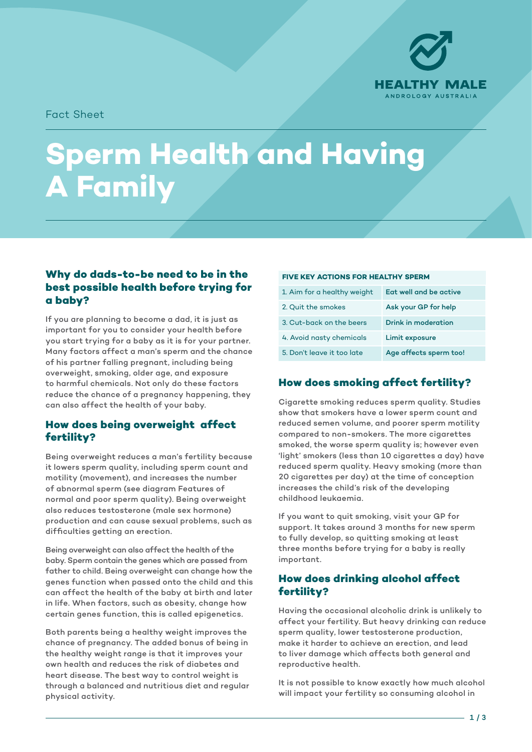

Fact Sheet

# **Sperm Health and Having A Family**

# **Why do dads-to-be need to be in the best possible health before trying for a baby?**

If you are planning to become a dad, it is just as important for you to consider your health before you start trying for a baby as it is for your partner. Many factors affect a man's sperm and the chance of his partner falling pregnant, including being overweight, smoking, older age, and exposure to harmful chemicals. Not only do these factors reduce the chance of a pregnancy happening, they can also affect the health of your baby.

# **How does being overweight affect fertility?**

Being overweight reduces a man's fertility because it lowers sperm quality, including sperm count and motility (movement), and increases the number of abnormal sperm (see diagram Features of normal and poor sperm quality). Being overweight also reduces testosterone (male sex hormone) production and can cause sexual problems, such as difficulties getting an erection.

Being overweight can also affect the health of the baby. Sperm contain the genes which are passed from father to child. Being overweight can change how the genes function when passed onto the child and this can affect the health of the baby at birth and later in life. When factors, such as obesity, change how certain genes function, this is called epigenetics.

Both parents being a healthy weight improves the chance of pregnancy. The added bonus of being in the healthy weight range is that it improves your own health and reduces the risk of diabetes and heart disease. The best way to control weight is through a balanced and nutritious diet and regular physical activity.

#### **FIVE KEY ACTIONS FOR HEALTHY SPERM**

| 1. Aim for a healthy weight | Eat well and be active |
|-----------------------------|------------------------|
| 2. Quit the smokes          | Ask your GP for help   |
| 3. Cut-back on the beers    | Drink in moderation    |
| 4. Avoid nasty chemicals    | Limit exposure         |
| 5. Don't leave it too late  | Age affects sperm too! |

# **How does smoking affect fertility?**

Cigarette smoking reduces sperm quality. Studies show that smokers have a lower sperm count and reduced semen volume, and poorer sperm motility compared to non-smokers. The more cigarettes smoked, the worse sperm quality is; however even 'light' smokers (less than 10 cigarettes a day) have reduced sperm quality. Heavy smoking (more than 20 cigarettes per day) at the time of conception increases the child's risk of the developing childhood leukaemia.

If you want to quit smoking, visit your GP for support. It takes around 3 months for new sperm to fully develop, so quitting smoking at least three months before trying for a baby is really important.

## **How does drinking alcohol affect fertility?**

Having the occasional alcoholic drink is unlikely to affect your fertility. But heavy drinking can reduce sperm quality, lower testosterone production, make it harder to achieve an erection, and lead to liver damage which affects both general and reproductive health.

It is not possible to know exactly how much alcohol will impact your fertility so consuming alcohol in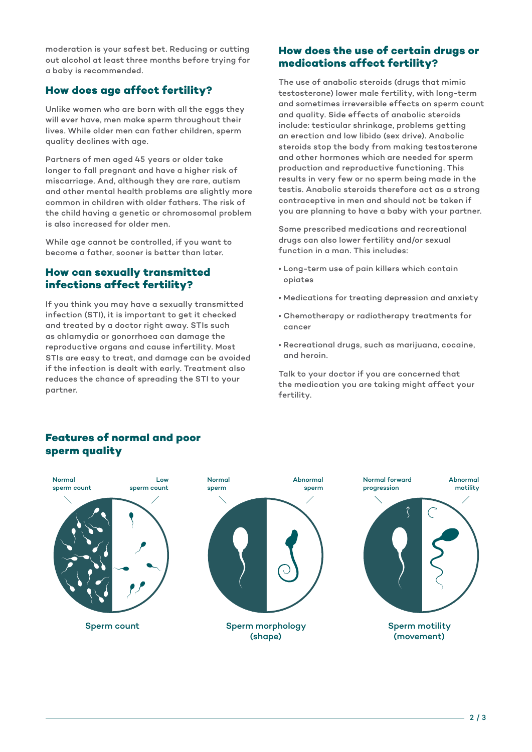moderation is your safest bet. Reducing or cutting out alcohol at least three months before trying for a baby is recommended.

## **How does age affect fertility?**

Unlike women who are born with all the eggs they will ever have, men make sperm throughout their lives. While older men can father children, sperm quality declines with age.

Partners of men aged 45 years or older take longer to fall pregnant and have a higher risk of miscarriage. And, although they are rare, autism and other mental health problems are slightly more common in children with older fathers. The risk of the child having a genetic or chromosomal problem is also increased for older men.

While age cannot be controlled, if you want to become a father, sooner is better than later.

### **How can sexually transmitted infections affect fertility?**

If you think you may have a sexually transmitted infection (STI), it is important to get it checked and treated by a doctor right away. STIs such as chlamydia or gonorrhoea can damage the reproductive organs and cause infertility. Most STIs are easy to treat, and damage can be avoided if the infection is dealt with early. Treatment also reduces the chance of spreading the STI to your partner.

### **How does the use of certain drugs or medications affect fertility?**

The use of anabolic steroids (drugs that mimic testosterone) lower male fertility, with long-term and sometimes irreversible effects on sperm count and quality. Side effects of anabolic steroids include: testicular shrinkage, problems getting an erection and low libido (sex drive). Anabolic steroids stop the body from making testosterone and other hormones which are needed for sperm production and reproductive functioning. This results in very few or no sperm being made in the testis. Anabolic steroids therefore act as a strong contraceptive in men and should not be taken if you are planning to have a baby with your partner.

Some prescribed medications and recreational drugs can also lower fertility and/or sexual function in a man. This includes:

- Long-term use of pain killers which contain opiates
- Medications for treating depression and anxiety
- Chemotherapy or radiotherapy treatments for cancer
- Recreational drugs, such as marijuana, cocaine, and heroin.

Talk to your doctor if you are concerned that the medication you are taking might affect your fertility.

#### Normal sperm count Low sperm count Normal sperm Abnormal sperm Normal forward progression Abnormal motility Sperm count Sperm morphology (shape) Sperm motility (movement)

# **Features of normal and poor sperm quality**